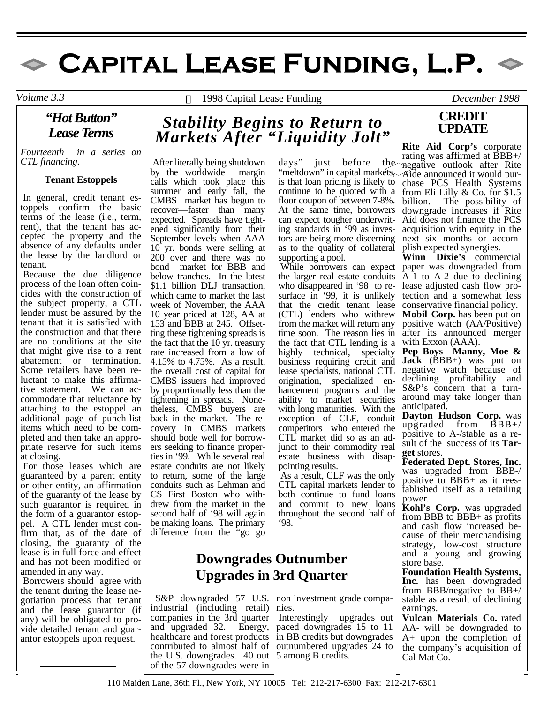# $\bullet$  CAPITAL LEASE FUNDING, L.P.  $\bullet$

*"Hot Button" Lease Terms* 

*Fourteenth in a series on CTL financing.*

#### **Tenant Estoppels**

 In general, credit tenant estoppels confirm the basic terms of the lease (i.e., term, rent), that the tenant has accepted the property and the absence of any defaults under the lease by the landlord or tenant.

 Because the due diligence process of the loan often coincides with the construction of the subject property, a CTL lender must be assured by the tenant that it is satisfied with the construction and that there are no conditions at the site that might give rise to a rent abatement or termination. Some retailers have been reluctant to make this affirmative statement. We can accommodate that reluctance by attaching to the estoppel an additional page of punch-list items which need to be completed and then take an appropriate reserve for such items at closing.

 For those leases which are guaranteed by a parent entity or other entity, an affirmation of the guaranty of the lease by such guarantor is required in the form of a guarantor estoppel. A CTL lender must confirm that, as of the date of closing, the guaranty of the lease is in full force and effect and has not been modified or amended in any way.

 Borrowers should agree with the tenant during the lease negotiation process that tenant and the lease guarantor (if any) will be obligated to provide detailed tenant and guarantor estoppels upon request.

*Volume 3.3*  1998 Capital Lease Funding *December 1998* 

## *Stability Begins to Return to Markets After "Liquidity Jolt"*

After literally being shutdown by the worldwide margin calls which took place this summer and early fall, the CMBS market has begun to recover—faster than many expected. Spreads have tightened significantly from their September levels when AAA 10 yr. bonds were selling at 200 over and there was no bond market for BBB and below tranches. In the latest \$1.1 billion DLJ transaction, which came to market the last week of November, the AAA 10 year priced at 128, AA at 153 and BBB at 245. Offsetting these tightening spreads is the fact that the 10 yr. treasury rate increased from a low of 4.15% to 4.75%. As a result, the overall cost of capital for CMBS issuers had improved by proportionally less than the tightening in spreads. Nonetheless, CMBS buyers are back in the market. The recovery in CMBS markets should bode well for borrowers seeking to finance properties in '99. While several real estate conduits are not likely to return, some of the large conduits such as Lehman and CS First Boston who withdrew from the market in the second half of '98 will again be making loans. The primary difference from the "go go

#### days" just before the "meltdown" in capital markets, is that loan pricing is likely to continue to be quoted with a floor coupon of between 7-8%. At the same time, borrowers can expect tougher underwriting standards in '99 as investors are being more discerning as to the quality of collateral supporting a pool.

 While borrowers can expect the larger real estate conduits who disappeared in '98 to resurface in '99, it is unlikely that the credit tenant lease (CTL) lenders who withrew from the market will return any time soon. The reason lies in the fact that CTL lending is a highly technical, specialty business requiring credit and lease specialists, national CTL origination, specialized enhancement programs and the ability to market securities with long maturities. With the exception of CLF, conduit competitors who entered the CTL market did so as an adjunct to their commodity real estate business with disappointing results.

 As a result, CLF was the only CTL capital markets lender to both continue to fund loans and commit to new loans throughout the second half of '98.

## **Downgrades Outnumber Upgrades in 3rd Quarter**

 S&P downgraded 57 U.S. industrial (including retail) companies in the 3rd quarter and upgraded 32. Energy, healthcare and forest products contributed to almost half of the U.S. downgrades. 40 out of the 57 downgrades were in

non investment grade companies.

 Interestingly upgrades out paced downgrades 15 to 11 in BB credits but downgrades outnumbered upgrades 24 to 5 among B credits.

### **CREDIT UPDATE**

**Rite Aid Corp's** corporate rating was affirmed at BBB+/ negative outlook after Rite Aide announced it would purchase PCS Health Systems from Eli Lilly & Co. for \$1.5 billion. The possibility of downgrade increases if Rite Aid does not finance the PCS acquisition with equity in the next six months or accomplish expected synergies.

**Winn Dixie's** commercial paper was downgraded from A-1 to A-2 due to declining lease adjusted cash flow protection and a somewhat less conservative financial policy.

**Mobil Corp.** has been put on positive watch (AA/Positive) after its announced merger with Exxon (AAA).

**Pep Boys—Manny, Moe & Jack** (BBB+) was put on negative watch because of declining profitability and S&P's concern that a turnaround may take longer than anticipated.

**Dayton Hudson Corp.** was upgraded from BBB+/ positive to A-/stable as a result of the success of its **Target** stores.

**Federated Dept. Stores, Inc.** was upgraded from BBB-/ positive to BBB+ as it reestablished itself as a retailing power.

**Kohl's Corp.** was upgraded from BBB to BBB+ as profits and cash flow increased because of their merchandising strategy, low-cost structure and a young and growing store base.

**Foundation Health Systems, Inc.** has been downgraded from BBB/negative to BB+/ stable as a result of declining earnings.

**Vulcan Materials Co.** rated AA- will be downgraded to A+ upon the completion of the company's acquisition of Cal Mat Co.